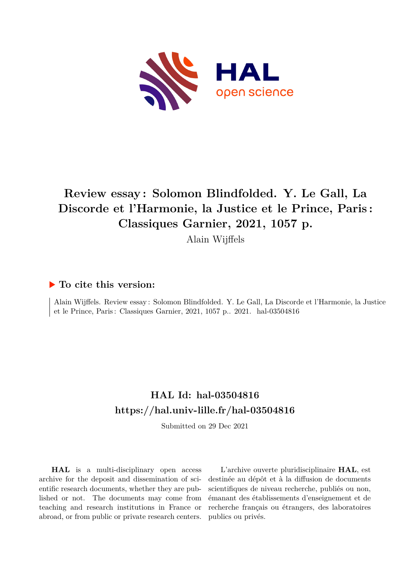

# **Review essay : Solomon Blindfolded. Y. Le Gall, La Discorde et l'Harmonie, la Justice et le Prince, Paris : Classiques Garnier, 2021, 1057 p.**

Alain Wijffels

### **To cite this version:**

Alain Wijffels. Review essay : Solomon Blindfolded. Y. Le Gall, La Discorde et l'Harmonie, la Justice et le Prince, Paris: Classiques Garnier, 2021, 1057 p. 2021. hal-03504816

## **HAL Id: hal-03504816 <https://hal.univ-lille.fr/hal-03504816>**

Submitted on 29 Dec 2021

**HAL** is a multi-disciplinary open access archive for the deposit and dissemination of scientific research documents, whether they are published or not. The documents may come from teaching and research institutions in France or abroad, or from public or private research centers.

L'archive ouverte pluridisciplinaire **HAL**, est destinée au dépôt et à la diffusion de documents scientifiques de niveau recherche, publiés ou non, émanant des établissements d'enseignement et de recherche français ou étrangers, des laboratoires publics ou privés.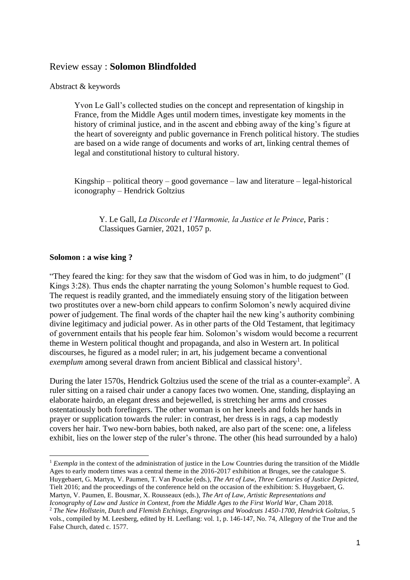#### Review essay : **Solomon Blindfolded**

#### Abstract & keywords

Yvon Le Gall's collected studies on the concept and representation of kingship in France, from the Middle Ages until modern times, investigate key moments in the history of criminal justice, and in the ascent and ebbing away of the king's figure at the heart of sovereignty and public governance in French political history. The studies are based on a wide range of documents and works of art, linking central themes of legal and constitutional history to cultural history.

Kingship – political theory – good governance – law and literature – legal-historical iconography – Hendrick Goltzius

Y. Le Gall, *La Discorde et l'Harmonie, la Justice et le Prince*, Paris : Classiques Garnier, 2021, 1057 p.

#### **Solomon : a wise king ?**

"They feared the king: for they saw that the wisdom of God was in him, to do judgment" (I Kings 3:28). Thus ends the chapter narrating the young Solomon's humble request to God. The request is readily granted, and the immediately ensuing story of the litigation between two prostitutes over a new-born child appears to confirm Solomon's newly acquired divine power of judgement. The final words of the chapter hail the new king's authority combining divine legitimacy and judicial power. As in other parts of the Old Testament, that legitimacy of government entails that his people fear him. Solomon's wisdom would become a recurrent theme in Western political thought and propaganda, and also in Western art. In political discourses, he figured as a model ruler; in art, his judgement became a conventional exemplum among several drawn from ancient Biblical and classical history<sup>1</sup>.

During the later 1570s, Hendrick Goltzius used the scene of the trial as a counter-example<sup>2</sup>. A ruler sitting on a raised chair under a canopy faces two women. One, standing, displaying an elaborate hairdo, an elegant dress and bejewelled, is stretching her arms and crosses ostentatiously both forefingers. The other woman is on her kneels and folds her hands in prayer or supplication towards the ruler: in contrast, her dress is in rags, a cap modestly covers her hair. Two new-born babies, both naked, are also part of the scene: one, a lifeless exhibit, lies on the lower step of the ruler's throne. The other (his head surrounded by a halo)

<sup>&</sup>lt;sup>1</sup> *Exempla* in the context of the administration of justice in the Low Countries during the transition of the Middle Ages to early modern times was a central theme in the 2016-2017 exhibition at Bruges, see the catalogue S. Huygebaert, G. Martyn, V. Paumen, T. Van Poucke (eds.), *The Art of Law, Three Centuries of Justice Depicted,*  Tielt 2016; and the proceedings of the conference held on the occasion of the exhibition: S. Huygebaert, G. Martyn, V. Paumen, E. Bousmar, X. Rousseaux (eds.), *The Art of Law, Artistic Representations and Iconography of Law and Justice in Context, from the Middle Ages to the First World War*, Cham 2018.

<sup>2</sup> *The New Hollstein, Dutch and Flemish Etchings, Engravings and Woodcuts 1450-1700*, *Hendrick Goltzius,* 5 vols., compiled by M. Leesberg, edited by H. Leeflang: vol. 1, p. 146-147, No. 74, Allegory of the True and the False Church, dated c. 1577.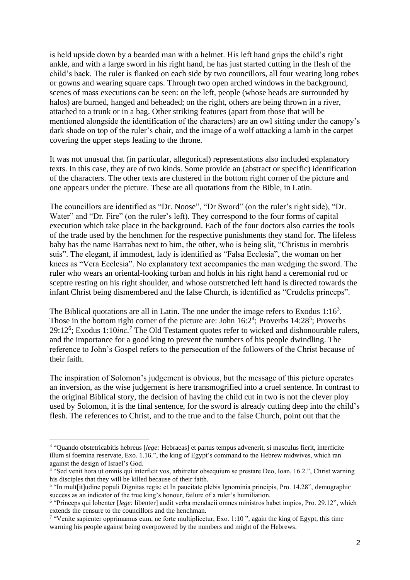is held upside down by a bearded man with a helmet. His left hand grips the child's right ankle, and with a large sword in his right hand, he has just started cutting in the flesh of the child's back. The ruler is flanked on each side by two councillors, all four wearing long robes or gowns and wearing square caps. Through two open arched windows in the background, scenes of mass executions can be seen: on the left, people (whose heads are surrounded by halos) are burned, hanged and beheaded; on the right, others are being thrown in a river, attached to a trunk or in a bag. Other striking features (apart from those that will be mentioned alongside the identification of the characters) are an owl sitting under the canopy's dark shade on top of the ruler's chair, and the image of a wolf attacking a lamb in the carpet covering the upper steps leading to the throne.

It was not unusual that (in particular, allegorical) representations also included explanatory texts. In this case, they are of two kinds. Some provide an (abstract or specific) identification of the characters. The other texts are clustered in the bottom right corner of the picture and one appears under the picture. These are all quotations from the Bible, in Latin.

The councillors are identified as "Dr. Noose", "Dr Sword" (on the ruler's right side), "Dr. Water" and "Dr. Fire" (on the ruler's left). They correspond to the four forms of capital execution which take place in the background. Each of the four doctors also carries the tools of the trade used by the henchmen for the respective punishments they stand for. The lifeless baby has the name Barrabas next to him, the other, who is being slit, "Christus in membris suis". The elegant, if immodest, lady is identified as "Falsa Ecclesia", the woman on her knees as "Vera Ecclesia". No explanatory text accompanies the man wedging the sword. The ruler who wears an oriental-looking turban and holds in his right hand a ceremonial rod or sceptre resting on his right shoulder, and whose outstretched left hand is directed towards the infant Christ being dismembered and the false Church, is identified as "Crudelis princeps".

The Biblical quotations are all in Latin. The one under the image refers to Exodus  $1:16<sup>3</sup>$ . Those in the bottom right corner of the picture are: John  $16:2^4$ ; Proverbs  $14:28^5$ ; Proverbs 29:12<sup>6</sup>; Exodus 1:10*inc.*<sup>7</sup> The Old Testament quotes refer to wicked and dishonourable rulers, and the importance for a good king to prevent the numbers of his people dwindling. The reference to John's Gospel refers to the persecution of the followers of the Christ because of their faith.

The inspiration of Solomon's judgement is obvious, but the message of this picture operates an inversion, as the wise judgement is here transmogrified into a cruel sentence. In contrast to the original Biblical story, the decision of having the child cut in two is not the clever ploy used by Solomon, it is the final sentence, for the sword is already cutting deep into the child's flesh. The references to Christ, and to the true and to the false Church, point out that the

<sup>3</sup> "Quando obstetricabitis hebreus [*lege:* Hebraeas] et partus tempus advenerit, si masculus fierit, interficite illum si foemina reservate, Exo. 1.16.", the king of Egypt's command to the Hebrew midwives, which ran against the design of Israel's God.

<sup>4</sup> "Sed venit hora ut omnis qui interficit vos, arbitretur obsequium se prestare Deo, Ioan. 16.2.", Christ warning his disciples that they will be killed because of their faith.

<sup>&</sup>lt;sup>5</sup> "In mult[it]udine populi Dignitas regis: et In paucitate plebis Ignominia principis, Pro. 14.28", demographic success as an indicator of the true king's honour, failure of a ruler's humiliation.

<sup>6</sup> "Princeps qui lobenter [*lege:* libenter] audit verba mendacii omnes ministros habet impios, Pro. 29.12", which extends the censure to the councillors and the henchman.

<sup>&</sup>lt;sup>7</sup> "Venite sapienter opprimamus eum, ne forte multiplicetur, Exo. 1:10", again the king of Egypt, this time warning his people against being overpowered by the numbers and might of the Hebrews.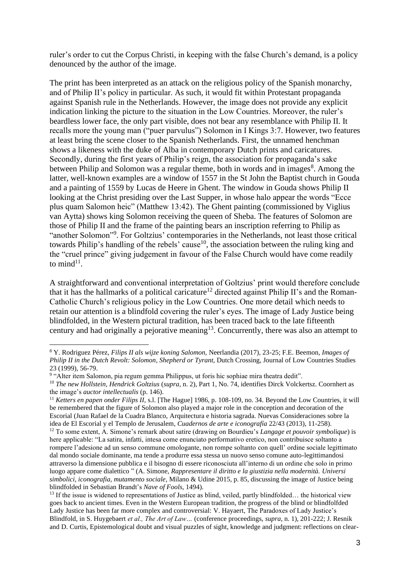ruler's order to cut the Corpus Christi, in keeping with the false Church's demand, is a policy denounced by the author of the image.

The print has been interpreted as an attack on the religious policy of the Spanish monarchy, and of Philip II's policy in particular. As such, it would fit within Protestant propaganda against Spanish rule in the Netherlands. However, the image does not provide any explicit indication linking the picture to the situation in the Low Countries. Moreover, the ruler's beardless lower face, the only part visible, does not bear any resemblance with Philip II. It recalls more the young man ("puer parvulus") Solomon in I Kings 3:7. However, two features at least bring the scene closer to the Spanish Netherlands. First, the unnamed henchman shows a likeness with the duke of Alba in contemporary Dutch prints and caricatures. Secondly, during the first years of Philip's reign, the association for propaganda's sake between Philip and Solomon was a regular theme, both in words and in images<sup>8</sup>. Among the latter, well-known examples are a window of 1557 in the St John the Baptist church in Gouda and a painting of 1559 by Lucas de Heere in Ghent. The window in Gouda shows Philip II looking at the Christ presiding over the Last Supper, in whose halo appear the words "Ecce plus quam Salomon heic" (Matthew 13:42). The Ghent painting (commissioned by Viglius van Aytta) shows king Solomon receiving the queen of Sheba. The features of Solomon are those of Philip II and the frame of the painting bears an inscription referring to Philip as "another Solomon"<sup>9</sup>. For Goltzius' contemporaries in the Netherlands, not least those critical towards Philip's handling of the rebels' cause<sup>10</sup>, the association between the ruling king and the "cruel prince" giving judgement in favour of the False Church would have come readily to mind $11$ .

A straightforward and conventional interpretation of Goltzius' print would therefore conclude that it has the hallmarks of a political caricature<sup>12</sup> directed against Philip II's and the Roman-Catholic Church's religious policy in the Low Countries. One more detail which needs to retain our attention is a blindfold covering the ruler's eyes. The image of Lady Justice being blindfolded, in the Western pictural tradition, has been traced back to the late fifteenth century and had originally a pejorative meaning<sup>13</sup>. Concurrently, there was also an attempt to

<sup>8</sup> Y. Rodriguez Pérez, *Filips II als wijze koning Salomon,* Neerlandia (2017), 23-25; F.E. Beemon, *Images of Philip II in the Dutch Revolt: Solomon, Shepherd or Tyrant, Dutch Crossing, Journal of Low Countries Studies* 23 (1999), 56-79.

<sup>&</sup>lt;sup>9</sup> "Alter item Salomon, pia regum gemma Philippus, ut foris hic sophiae mira theatra dedit".

<sup>10</sup> *The new Hollstein, Hendrick Goltzius* (*supra*, n. 2), Part 1, No. 74, identifies Dirck Volckertsz. Coornhert as the image's *auctor intellectualis* (p. 146).

<sup>11</sup> *Ketters en papen onder Filips II,* s.l. [The Hague] 1986, p. 108-109, no. 34. Beyond the Low Countries, it will be remembered that the figure of Solomon also played a major role in the conception and decoration of the Escorial (Juan Rafael de la Cuadra Blanco, [Arquitectura e historia sagrada. Nuevas Consideraciones sobre la](https://dialnet.unirioja.es/servlet/articulo?codigo=4612892)  [idea de El Escorial y el Templo de Jerusalem,](https://dialnet.unirioja.es/servlet/articulo?codigo=4612892) *[Cuadernos de arte e iconografía](https://dialnet.unirioja.es/servlet/revista?codigo=1985)* [22/43 \(2013\)](https://dialnet.unirioja.es/ejemplar/359341), 11-258).

<sup>12</sup> To some extent, A. Simone's remark about satire (drawing on Bourdieu's *Langage et pouvoir symbolique*) is here applicable: "La satira, infatti, intesa come enunciato performativo eretico, non contribuisce soltanto a rompere l'adesione ad un senso commune omologante, non rompe soltanto con quell' ordine sociale legittimato dal mondo sociale dominante, ma tende a produrre essa stessa un nuovo senso comune auto-legittimandosi attraverso la dimensione pubblica e il bisogno di essere riconosciuta all'interno di un ordine che solo in primo luogo appare come dialettico " (A. Simone, *Rappresentare il diritto e la giustizia nella modernità. Universi simbolici, iconografia, mutamento sociale,* Milano & Udine 2015, p. 85, discussing the image of Justice being blindfolded in Sebastian Brandt's *Nave of Fools*, 1494).

 $13$  If the issue is widened to representations of Justice as blind, veiled, partly blindfolded… the historical view goes back to ancient times. Even in the Western European tradition, the progress of the blind or blindfolfded Lady Justice has been far more complex and controversial: V. Hayaert, The Paradoxes of Lady Justice's Blindfold, in S. Huygebaert *et al., The Art of Law…* (conference proceedings, *supra*, n. 1), 201-222; J. Resnik and D. Curtis, Epistemological doubt and visual puzzles of sight, knowledge and judgment: reflections on clear-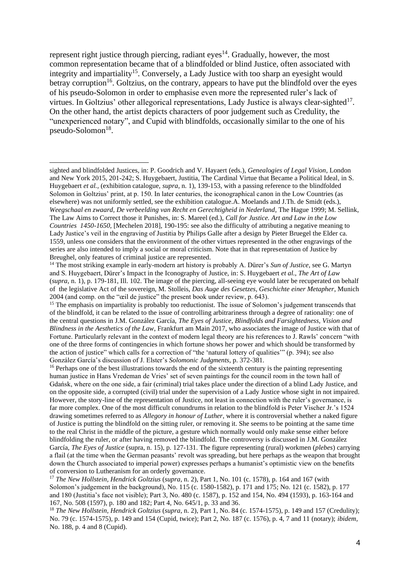represent right justice through piercing, radiant  $eyes<sup>14</sup>$ . Gradually, however, the most common representation became that of a blindfolded or blind Justice, often associated with integrity and impartiality<sup>15</sup>. Conversely, a Lady Justice with too sharp an eyesight would betray corruption<sup>16</sup>. Goltzius, on the contrary, appears to have put the blindfold over the eyes of his pseudo-Solomon in order to emphasise even more the represented ruler's lack of virtues. In Goltzius' other allegorical representations, Lady Justice is always clear-sighted<sup>17</sup>. On the other hand, the artist depicts characters of poor judgement such as Credulity, the "unexperienced notary", and Cupid with blindfolds, occasionally similar to the one of his pseudo-Solomon<sup>18</sup>.

sighted and blindfolded Justices*,* in: P. Goodrich and V. Hayaert (eds.), *Genealogies of Legal Vision*, London and New York 2015, 201-242; S. Huygebaert, Justitia, The Cardinal Virtue that Became a Political Ideal*,* in S. Huygebaert *et al.,* (exhibition catalogue, *supra*, n. 1), 139-153, with a passing reference to the blindfolded Solomon in Goltzius' print, at p. 150. In later centuries, the iconographical canon in the Low Countries (as elsewhere) was not uniformly settled, see the exhibition catalogue.A. Moelands and J.Th. de Smidt (eds.), *Weegschaal en zwaard, De verbeelding van Recht en Gerechtigheid in Nederland*, The Hague 1999; M. Sellink, The Law Aims to Correct those it Punishes, in: S. Mareel (ed.), *Call for Justice. Art and Law in the Low Countries 1450-1650*, [Mechelen 2018], 190-195: see also the difficulty of attributing a negative meaning to Lady Justice's veil in the engraving of Justitia by Philips Galle after a design by Pieter Bruegel the Elder ca. 1559, unless one considers that the environment of the other virtues represented in the other engravings of the series are also intended to imply a social or moral criticism. Note that in that representation of Justice by Breughel, only features of criminal justice are represented.

<sup>14</sup> The most striking example in early-modern art history is probably A. Dürer's *Sun of Justice,* see G. Martyn and S. Huygebaert, Dürer's Impact in the Iconography of Justice, in: S. Huygebaert *et al.*, *The Art of Law* (*supra*, n. 1), p. 179-181, Ill. 102. The image of the piercing, all-seeing eye would later be recuperated on behalf of the legislative Act of the sovereign, M. Stolleis, *Das Auge des Gesetzes, Geschichte einer Metapher*, Munich 2004 (and comp. on the "œil de justice" the present book under review, p. 643).

<sup>&</sup>lt;sup>15</sup> The emphasis on impartiality is probably too reductionist. The issue of Solomon's judgement transcends that of the blindfold, it can be related to the issue of controlling arbitrariness through a degree of rationality: one of the central questions in J.M. González García, *The Eyes of Justice, Blindfolds and Farsightedness, Vision and Blindness in the Aesthetics of the Law*, Frankfurt am Main 2017, who associates the image of Justice with that of Fortune. Particularly relevant in the context of modern legal theory are his references to J. Rawls' concern "with one of the three forms of contingencies in which fortune shows her power and which should be transformed by the action of justice" which calls for a correction of "the 'natural lottery of qualities'" (p. 394); see also González García's discussion of J. Elster's *Solomonic Judgments*, p. 372-381.

<sup>&</sup>lt;sup>16</sup> Perhaps one of the best illustrations towards the end of the sixteenth century is the painting representing human justice in Hans Vredeman de Vries' set of seven paintings for the council room in the town hall of Gdańsk, where on the one side, a fair (criminal) trial takes place under the direction of a blind Lady Justice, and on the opposite side, a corrupted (civil) trial under the supervision of a Lady Justice whose sight in not impaired. However, the story-line of the representation of Justice, not least in connection with the ruler's governance, is far more complex. One of the most difficult conundrums in relation to the blindfold is Peter Vischer Jr.'s 1524 drawing sometimes referred to as *Allegory in honour of Luther*, where it is controversial whether a naked figure of Justice is putting the blindfold on the sitting ruler, or removing it. She seems to be pointing at the same time to the real Christ in the middle of the picture, a gesture which normally would only make sense either before blindfolding the ruler, or after having removed the blindfold. The controversy is discussed in J.M. González García, *The Eyes of Justice* (supra, n. 15), p. 127-131. The figure representing (rural) workmen (*plebes*) carrying a flail (at the time when the German peasants' revolt was spreading, but here perhaps as the weapon that brought down the Church associated to imperial power) expresses perhaps a humanist's optimistic view on the benefits of conversion to Lutheranism for an orderly governance.

<sup>17</sup> *The New Hollstein, Hendrick Goltzius* (*supra*, n. 2), Part 1, No. 101 (c. 1578), p. 164 and 167 (with Solomon's judgement in the background), No. 115 (c. 1580-1582), p. 171 and 175; No. 121 (c. 1582), p. 177 and 180 (Justitia's face not visible); Part 3, No. 480 (c. 1587), p. 152 and 154, No. 494 (1593), p. 163-164 and 167, No. 508 (1597), p. 180 and 182; Part 4, No. 645/1, p. 33 and 36.

<sup>18</sup> *The New Hollstein, Hendrick Goltzius* (*supra*, n. 2), Part 1, No. 84 (c. 1574-1575), p. 149 and 157 (Credulity); No. 79 (c. 1574-1575), p. 149 and 154 (Cupid, twice); Part 2, No. 187 (c. 1576), p. 4, 7 and 11 (notary); *ibidem,*  No. 188, p. 4 and 8 (Cupid).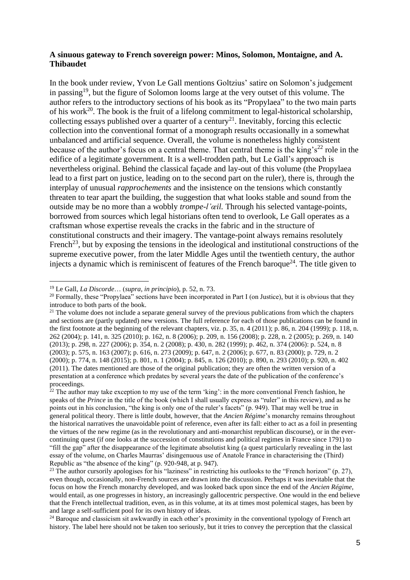#### **A sinuous gateway to French sovereign power: Minos, Solomon, Montaigne, and A. Thibaudet**

In the book under review, Yvon Le Gall mentions Goltzius' satire on Solomon's judgement in passing<sup>19</sup>, but the figure of Solomon looms large at the very outset of this volume. The author refers to the introductory sections of his book as its "Propylaea" to the two main parts of his work<sup>20</sup>. The book is the fruit of a lifelong commitment to legal-historical scholarship, collecting essays published over a quarter of a century<sup>21</sup>. Inevitably, forcing this eclectic collection into the conventional format of a monograph results occasionally in a somewhat unbalanced and artificial sequence. Overall, the volume is nonetheless highly consistent because of the author's focus on a central theme. That central theme is the king's<sup>22</sup> role in the edifice of a legitimate government. It is a well-trodden path, but Le Gall's approach is nevertheless original. Behind the classical façade and lay-out of this volume (the Propylaea lead to a first part on justice, leading on to the second part on the ruler), there is, through the interplay of unusual *rapprochements* and the insistence on the tensions which constantly threaten to tear apart the building, the suggestion that what looks stable and sound from the outside may be no more than a wobbly *trompe-l'œil.* Through his selected vantage-points, borrowed from sources which legal historians often tend to overlook, Le Gall operates as a craftsman whose expertise reveals the cracks in the fabric and in the structure of constitutional constructs and their imagery. The vantage-point always remains resolutely French<sup>23</sup>, but by exposing the tensions in the ideological and institutional constructions of the supreme executive power, from the later Middle Ages until the twentieth century, the author injects a dynamic which is reminiscent of features of the French baroque $^{24}$ . The title given to

<sup>19</sup> Le Gall, *La Discorde*… (*supra, in principio*), p. 52, n. 73.

<sup>&</sup>lt;sup>20</sup> Formally, these "Propylaea" sections have been incorporated in Part I (on Justice), but it is obvious that they introduce to both parts of the book.

<sup>&</sup>lt;sup>21</sup> The volume does not include a separate general survey of the previous publications from which the chapters and sections are (partly updated) new versions. The full reference for each of those publications can be found in the first footnote at the beginning of the relevant chapters, viz. p. 35, n. 4 (2011); p. 86, n. 204 (1999); p. 118, n. 262 (2004); p. 141, n. 325 (2010); p. 162, n. 8 (2006); p. 209, n. 156 (2008); p. 228, n. 2 (2005); p. 269, n. 140 (2013); p. 298, n. 227 (2006); p. 354, n. 2 (2008); p. 430, n. 282 (1999); p. 462, n. 374 (2006): p. 524, n. 8 (2003); p. 575, n. 163 (2007); p. 616, n. 273 (2009); p. 647, n. 2 (2006); p. 677, n. 83 (2000); p. 729, n. 2 (2000); p. 774, n. 148 (2015); p. 801, n. 1 (2004); p. 845, n. 126 (2010); p. 890, n. 293 (2010); p. 920, n. 402 (2011). The dates mentioned are those of the original publication; they are often the written version of a presentation at a conference which predates by several years the date of the publication of the conference's proceedings.

 $22$  The author may take exception to my use of the term 'king': in the more conventional French fashion, he speaks of the *Prince* in the title of the book (which I shall usually express as "ruler" in this review), and as he points out in his conclusion, "the king is only one of the ruler's facets" (p. 949). That may well be true in general political theory. There is little doubt, however, that the *Ancien Régime*'s monarchy remains throughout the historical narratives the unavoidable point of reference, even after its fall: either to act as a foil in presenting the virtues of the new regime (as in the revolutionary and anti-monarchist republican discourse), or in the evercontinuing quest (if one looks at the succession of constitutions and political regimes in France since 1791) to "fill the gap" after the disappearance of the legitimate absolutist king (a quest particularly revealing in the last essay of the volume, on Charles Maurras' disingenuous use of Anatole France in characterising the (Third) Republic as "the absence of the king" (p. 920-948, at p. 947).

<sup>&</sup>lt;sup>23</sup> The author cursorily apologises for his "laziness" in restricting his outlooks to the "French horizon" (p. 27), even though, occasionally, non-French sources are drawn into the discussion. Perhaps it was inevitable that the focus on how the French monarchy developed, and was looked back upon since the end of the *Ancien Régime*, would entail, as one progresses in history, an increasingly gallocentric perspective. One would in the end believe that the French intellectual tradition, even, as in this volume, at its at times most polemical stages, has been by and large a self-sufficient pool for its own history of ideas.

<sup>&</sup>lt;sup>24</sup> Baroque and classicism sit awkwardly in each other's proximity in the conventional typology of French art history. The label here should not be taken too seriously, but it tries to convey the perception that the classical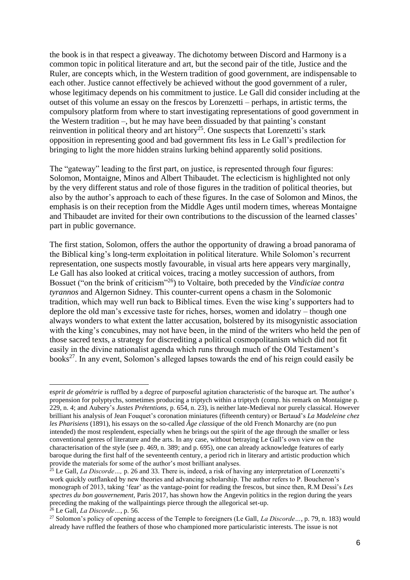the book is in that respect a giveaway. The dichotomy between Discord and Harmony is a common topic in political literature and art, but the second pair of the title, Justice and the Ruler, are concepts which, in the Western tradition of good government, are indispensable to each other. Justice cannot effectively be achieved without the good government of a ruler, whose legitimacy depends on his commitment to justice. Le Gall did consider including at the outset of this volume an essay on the frescos by Lorenzetti – perhaps, in artistic terms, the compulsory platform from where to start investigating representations of good government in the Western tradition –, but he may have been dissuaded by that painting's constant reinvention in political theory and art history<sup>25</sup>. One suspects that Lorenzetti's stark opposition in representing good and bad government fits less in Le Gall's predilection for bringing to light the more hidden strains lurking behind apparently solid positions.

The "gateway" leading to the first part, on justice, is represented through four figures: Solomon, Montaigne, Minos and Albert Thibaudet. The eclecticism is highlighted not only by the very different status and role of those figures in the tradition of political theories, but also by the author's approach to each of these figures. In the case of Solomon and Minos, the emphasis is on their reception from the Middle Ages until modern times, whereas Montaigne and Thibaudet are invited for their own contributions to the discussion of the learned classes' part in public governance.

The first station, Solomon, offers the author the opportunity of drawing a broad panorama of the Biblical king's long-term exploitation in political literature. While Solomon's recurrent representation, one suspects mostly favourable, in visual arts here appears very marginally, Le Gall has also looked at critical voices, tracing a motley succession of authors, from Bossuet ("on the brink of criticism"<sup>26</sup>) to Voltaire, both preceded by the *Vindiciae contra tyrannos* and Algernon Sidney. This counter-current opens a chasm in the Solomonic tradition, which may well run back to Biblical times. Even the wise king's supporters had to deplore the old man's excessive taste for riches, horses, women and idolatry – though one always wonders to what extent the latter accusation, bolstered by its misogynistic association with the king's concubines, may not have been, in the mind of the writers who held the pen of those sacred texts, a strategy for discrediting a political cosmopolitanism which did not fit easily in the divine nationalist agenda which runs through much of the Old Testament's books<sup>27</sup>. In any event, Solomon's alleged lapses towards the end of his reign could easily be

e*sprit de géométrie* is ruffled by a degree of purposeful agitation characteristic of the baroque art. The author's propension for polyptychs, sometimes producing a triptych within a triptych (comp. his remark on Montaigne p. 229, n. 4; and Aubery's *Justes Prétentions,* p. 654, n. 23), is neither late-Medieval nor purely classical. However brilliant his analysis of Jean Fouquet's coronation miniatures (fifteenth century) or Bertaud's *La Madeleine chez les Pharisiens* (1891), his essays on the so-called *Âge classique* of the old French Monarchy are (no pun intended) the most resplendent, especially when he brings out the spirit of the age through the smaller or less conventional genres of literature and the arts. In any case, without betraying Le Gall's own view on the characterisation of the style (see p. 469, n. 389; and p. 695), one can already acknowledge features of early baroque during the first half of the seventeenth century, a period rich in literary and artistic production which provide the materials for some of the author's most brilliant analyses.

<sup>&</sup>lt;sup>25</sup> Le Gall, *La Discorde* ..., p. 26 and 33. There is, indeed, a risk of having any interpretation of Lorenzetti's work quickly outflanked by new theories and advancing scholarship. The author refers to P. Boucheron's monograph of 2013, taking 'fear' as the vantage-point for reading the frescos, but since then, R.M Dessì's *Les spectres du bon gouvernement*, Paris 2017, has shown how the Angevin politics in the region during the years preceding the making of the wallpaintings pierce through the allegorical set-up.

<sup>26</sup> Le Gall, *La Discorde…*, p. 56.

<sup>27</sup> Solomon's policy of opening access of the Temple to foreigners (Le Gall, *La Discorde…*, p. 79, n. 183) would already have ruffled the feathers of those who championed more particularistic interests. The issue is not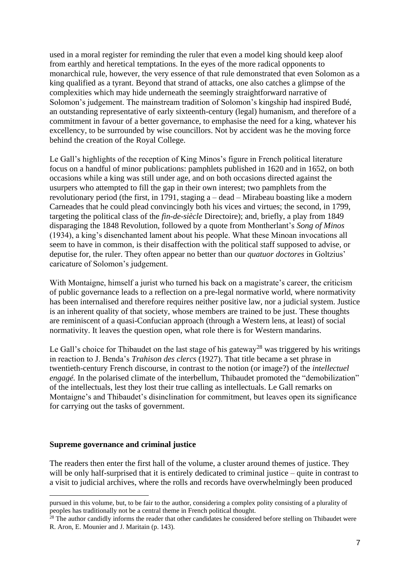used in a moral register for reminding the ruler that even a model king should keep aloof from earthly and heretical temptations. In the eyes of the more radical opponents to monarchical rule, however, the very essence of that rule demonstrated that even Solomon as a king qualified as a tyrant. Beyond that strand of attacks, one also catches a glimpse of the complexities which may hide underneath the seemingly straightforward narrative of Solomon's judgement. The mainstream tradition of Solomon's kingship had inspired Budé, an outstanding representative of early sixteenth-century (legal) humanism, and therefore of a commitment in favour of a better governance, to emphasise the need for a king, whatever his excellency, to be surrounded by wise councillors. Not by accident was he the moving force behind the creation of the Royal College.

Le Gall's highlights of the reception of King Minos's figure in French political literature focus on a handful of minor publications: pamphlets published in 1620 and in 1652, on both occasions while a king was still under age, and on both occasions directed against the usurpers who attempted to fill the gap in their own interest; two pamphlets from the revolutionary period (the first, in 1791, staging a – dead – Mirabeau boasting like a modern Carneades that he could plead convincingly both his vices and virtues; the second, in 1799, targeting the political class of the *fin-de-siècle* Directoire); and, briefly, a play from 1849 disparaging the 1848 Revolution, followed by a quote from Montherlant's *Song of Minos* (1934), a king's disenchanted lament about his people. What these Minoan invocations all seem to have in common, is their disaffection with the political staff supposed to advise, or deputise for, the ruler. They often appear no better than our *quatuor doctores* in Goltzius' caricature of Solomon's judgement.

With Montaigne, himself a jurist who turned his back on a magistrate's career, the criticism of public governance leads to a reflection on a pre-legal normative world, where normativity has been internalised and therefore requires neither positive law, nor a judicial system. Justice is an inherent quality of that society, whose members are trained to be just. These thoughts are reminiscent of a quasi-Confucian approach (through a Western lens, at least) of social normativity. It leaves the question open, what role there is for Western mandarins.

Le Gall's choice for Thibaudet on the last stage of his gateway<sup>28</sup> was triggered by his writings in reaction to J. Benda's *Trahison des clercs* (1927). That title became a set phrase in twentieth-century French discourse, in contrast to the notion (or image?) of the *intellectuel engagé*. In the polarised climate of the interbellum, Thibaudet promoted the "demobilization" of the intellectuals, lest they lost their true calling as intellectuals. Le Gall remarks on Montaigne's and Thibaudet's disinclination for commitment, but leaves open its significance for carrying out the tasks of government.

#### **Supreme governance and criminal justice**

The readers then enter the first hall of the volume, a cluster around themes of justice. They will be only half-surprised that it is entirely dedicated to criminal justice – quite in contrast to a visit to judicial archives, where the rolls and records have overwhelmingly been produced

pursued in this volume, but, to be fair to the author, considering a complex polity consisting of a plurality of peoples has traditionally not be a central theme in French political thought.

 $28$  The author candidly informs the reader that other candidates he considered before stelling on Thibaudet were R. Aron, E. Mounier and J. Maritain (p. 143).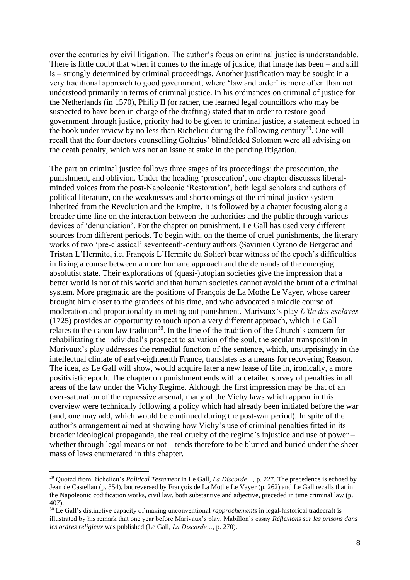over the centuries by civil litigation. The author's focus on criminal justice is understandable. There is little doubt that when it comes to the image of justice, that image has been – and still is – strongly determined by criminal proceedings. Another justification may be sought in a very traditional approach to good government, where 'law and order' is more often than not understood primarily in terms of criminal justice. In his ordinances on criminal of justice for the Netherlands (in 1570), Philip II (or rather, the learned legal councillors who may be suspected to have been in charge of the drafting) stated that in order to restore good government through justice, priority had to be given to criminal justice, a statement echoed in the book under review by no less than Richelieu during the following century<sup>29</sup>. One will recall that the four doctors counselling Goltzius' blindfolded Solomon were all advising on the death penalty, which was not an issue at stake in the pending litigation.

The part on criminal justice follows three stages of its proceedings: the prosecution, the punishment, and oblivion. Under the heading 'prosecution', one chapter discusses liberalminded voices from the post-Napoleonic 'Restoration', both legal scholars and authors of political literature, on the weaknesses and shortcomings of the criminal justice system inherited from the Revolution and the Empire. It is followed by a chapter focusing along a broader time-line on the interaction between the authorities and the public through various devices of 'denunciation'. For the chapter on punishment, Le Gall has used very different sources from different periods. To begin with, on the theme of cruel punishments, the literary works of two 'pre-classical' seventeenth-century authors (Savinien Cyrano de Bergerac and Tristan L'Hermite, i.e. François L'Hermite du Solier) bear witness of the epoch's difficulties in fixing a course between a more humane approach and the demands of the emerging absolutist state. Their explorations of (quasi-)utopian societies give the impression that a better world is not of this world and that human societies cannot avoid the brunt of a criminal system. More pragmatic are the positions of François de La Mothe Le Vayer, whose career brought him closer to the grandees of his time, and who advocated a middle course of moderation and proportionality in meting out punishment. Marivaux's play *L'île des esclaves*  (1725) provides an opportunity to touch upon a very different approach, which Le Gall relates to the canon law tradition<sup>30</sup>. In the line of the tradition of the Church's concern for rehabilitating the individual's prospect to salvation of the soul, the secular transposition in Marivaux's play addresses the remedial function of the sentence, which, unsurprisingly in the intellectual climate of early-eighteenth France, translates as a means for recovering Reason. The idea, as Le Gall will show, would acquire later a new lease of life in, ironically, a more positivistic epoch. The chapter on punishment ends with a detailed survey of penalties in all areas of the law under the Vichy Regime. Although the first impression may be that of an over-saturation of the repressive arsenal, many of the Vichy laws which appear in this overview were technically following a policy which had already been initiated before the war (and, one may add, which would be continued during the post-war period). In spite of the author's arrangement aimed at showing how Vichy's use of criminal penalties fitted in its broader ideological propaganda, the real cruelty of the regime's injustice and use of power – whether through legal means or not – tends therefore to be blurred and buried under the sheer mass of laws enumerated in this chapter.

<sup>29</sup> Quoted from Richelieu's *Political Testament* in Le Gall, *La Discorde…,* p. 227. The precedence is echoed by Jean de Castellan (p. 354), but reversed by François de La Mothe Le Vayer (p. 262) and Le Gall recalls that in the Napoleonic codification works, civil law, both substantive and adjective, preceded in time criminal law (p. 407).

<sup>30</sup> Le Gall's distinctive capacity of making unconventional *rapprochements* in legal-historical tradecraft is illustrated by his remark that one year before Marivaux's play, Mabillon's essay *Réflexions sur les prisons dans les ordres religieux* was published (Le Gall, *La Discorde…*, p. 270).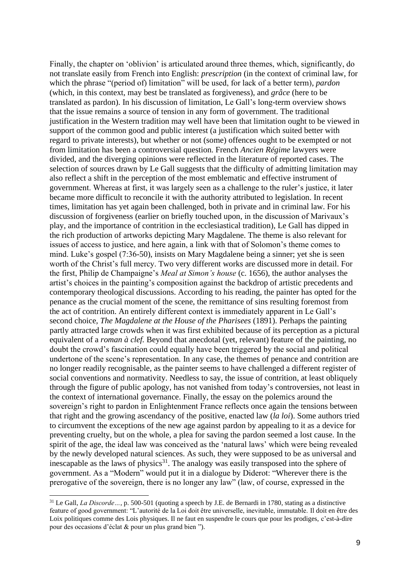Finally, the chapter on 'oblivion' is articulated around three themes, which, significantly, do not translate easily from French into English: *prescription* (in the context of criminal law, for which the phrase "(period of) limitation" will be used, for lack of a better term), *pardon* (which, in this context, may best be translated as forgiveness), and *grâce* (here to be translated as pardon). In his discussion of limitation, Le Gall's long-term overview shows that the issue remains a source of tension in any form of government. The traditional justification in the Western tradition may well have been that limitation ought to be viewed in support of the common good and public interest (a justification which suited better with regard to private interests), but whether or not (some) offences ought to be exempted or not from limitation has been a controversial question. French *Ancien Régime* lawyers were divided, and the diverging opinions were reflected in the literature of reported cases. The selection of sources drawn by Le Gall suggests that the difficulty of admitting limitation may also reflect a shift in the perception of the most emblematic and effective instrument of government. Whereas at first, it was largely seen as a challenge to the ruler's justice, it later became more difficult to reconcile it with the authority attributed to legislation. In recent times, limitation has yet again been challenged, both in private and in criminal law. For his discussion of forgiveness (earlier on briefly touched upon, in the discussion of Marivaux's play, and the importance of contrition in the ecclesiastical tradition), Le Gall has dipped in the rich production of artworks depicting Mary Magdalene. The theme is also relevant for issues of access to justice, and here again, a link with that of Solomon's theme comes to mind. Luke's gospel (7:36-50), insists on Mary Magdalene being a sinner; yet she is seen worth of the Christ's full mercy. Two very different works are discussed more in detail. For the first, Philip de Champaigne's *Meal at Simon's house* (c. 1656), the author analyses the artist's choices in the painting's composition against the backdrop of artistic precedents and contemporary theological discussions. According to his reading, the painter has opted for the penance as the crucial moment of the scene, the remittance of sins resulting foremost from the act of contrition. An entirely different context is immediately apparent in Le Gall's second choice, *The Magdalene at the House of the Pharisees* (1891). Perhaps the painting partly attracted large crowds when it was first exhibited because of its perception as a pictural equivalent of a *roman à clef.* Beyond that anecdotal (yet, relevant) feature of the painting, no doubt the crowd's fascination could equally have been triggered by the social and political undertone of the scene's representation. In any case, the themes of penance and contrition are no longer readily recognisable, as the painter seems to have challenged a different register of social conventions and normativity. Needless to say, the issue of contrition, at least obliquely through the figure of public apology, has not vanished from today's controversies, not least in the context of international governance. Finally, the essay on the polemics around the sovereign's right to pardon in Enlightenment France reflects once again the tensions between that right and the growing ascendancy of the positive, enacted law (*la loi*). Some authors tried to circumvent the exceptions of the new age against pardon by appealing to it as a device for preventing cruelty, but on the whole, a plea for saving the pardon seemed a lost cause. In the spirit of the age, the ideal law was conceived as the 'natural laws' which were being revealed by the newly developed natural sciences. As such, they were supposed to be as universal and inescapable as the laws of physics $31$ . The analogy was easily transposed into the sphere of government. As a "Modern" would put it in a dialogue by Diderot: "Wherever there is the prerogative of the sovereign, there is no longer any law" (law, of course, expressed in the

<sup>31</sup> Le Gall, *La Discorde…*, p. 500-501 (quoting a speech by J.E. de Bernardi in 1780, stating as a distinctive feature of good government: "L'autorité de la Loi doit être universelle, inevitable, immutable. Il doit en être des Loix politiques comme des Lois physiques. Il ne faut en suspendre le cours que pour les prodiges, c'est-à-dire pour des occasions d'éclat & pour un plus grand bien ").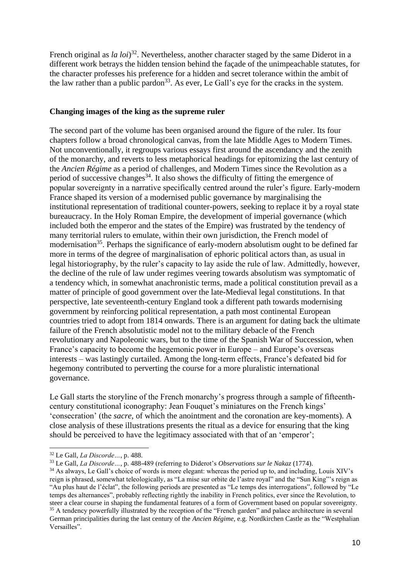French original as *la loi*) 32 . Nevertheless, another character staged by the same Diderot in a different work betrays the hidden tension behind the façade of the unimpeachable statutes, for the character professes his preference for a hidden and secret tolerance within the ambit of the law rather than a public pardon<sup>33</sup>. As ever, Le Gall's eye for the cracks in the system.

#### **Changing images of the king as the supreme ruler**

The second part of the volume has been organised around the figure of the ruler. Its four chapters follow a broad chronological canvas, from the late Middle Ages to Modern Times. Not unconventionally, it regroups various essays first around the ascendancy and the zenith of the monarchy, and reverts to less metaphorical headings for epitomizing the last century of the *Ancien Régime* as a period of challenges, and Modern Times since the Revolution as a period of successive changes<sup>34</sup>. It also shows the difficulty of fitting the emergence of popular sovereignty in a narrative specifically centred around the ruler's figure. Early-modern France shaped its version of a modernised public governance by marginalising the institutional representation of traditional counter-powers, seeking to replace it by a royal state bureaucracy. In the Holy Roman Empire, the development of imperial governance (which included both the emperor and the states of the Empire) was frustrated by the tendency of many territorial rulers to emulate, within their own jurisdiction, the French model of modernisation<sup>35</sup>. Perhaps the significance of early-modern absolutism ought to be defined far more in terms of the degree of marginalisation of ephoric political actors than, as usual in legal historiography, by the ruler's capacity to lay aside the rule of law. Admittedly, however, the decline of the rule of law under regimes veering towards absolutism was symptomatic of a tendency which, in somewhat anachronistic terms, made a political constitution prevail as a matter of principle of good government over the late-Medieval legal constitutions. In that perspective, late seventeenth-century England took a different path towards modernising government by reinforcing political representation, a path most continental European countries tried to adopt from 1814 onwards. There is an argument for dating back the ultimate failure of the French absolutistic model not to the military debacle of the French revolutionary and Napoleonic wars, but to the time of the Spanish War of Succession, when France's capacity to become the hegemonic power in Europe – and Europe's overseas interests – was lastingly curtailed. Among the long-term effects, France's defeated bid for hegemony contributed to perverting the course for a more pluralistic international governance.

Le Gall starts the storyline of the French monarchy's progress through a sample of fifteenthcentury constitutional iconography: Jean Fouquet's miniatures on the French kings' 'consecration' (the *sacre*, of which the anointment and the coronation are key-moments). A close analysis of these illustrations presents the ritual as a device for ensuring that the king should be perceived to have the legitimacy associated with that of an 'emperor';

<sup>32</sup> Le Gall, *La Discorde…*, p. 488.

<sup>33</sup> Le Gall, *La Discorde…*, p. 488-489 (referring to Diderot's *Observations sur le Nakaz* (1774).

<sup>&</sup>lt;sup>34</sup> As always, Le Gall's choice of words is more elegant: whereas the period up to, and including, Louis XIV's reign is phrased, somewhat teleologically, as "La mise sur orbite de l'astre royal" and the "Sun King"'s reign as "Au plus haut de l'éclat", the following periods are presented as "Le temps des interrogations", followed by "Le temps des alternances", probably reflecting rightly the inability in French politics, ever since the Revolution, to steer a clear course in shaping the fundamental features of a form of Government based on popular sovereignty. <sup>35</sup> A tendency powerfully illustrated by the reception of the "French garden" and palace architecture in several German principalities during the last century of the *Ancien Régime*, e.g. Nordkirchen Castle as the "Westphalian Versailles".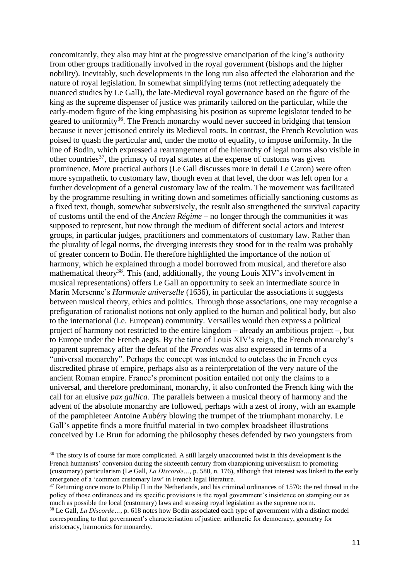concomitantly, they also may hint at the progressive emancipation of the king's authority from other groups traditionally involved in the royal government (bishops and the higher nobility). Inevitably, such developments in the long run also affected the elaboration and the nature of royal legislation. In somewhat simplifying terms (not reflecting adequately the nuanced studies by Le Gall), the late-Medieval royal governance based on the figure of the king as the supreme dispenser of justice was primarily tailored on the particular, while the early-modern figure of the king emphasising his position as supreme legislator tended to be geared to uniformity<sup>36</sup>. The French monarchy would never succeed in bridging that tension because it never jettisoned entirely its Medieval roots. In contrast, the French Revolution was poised to quash the particular and, under the motto of equality, to impose uniformity. In the line of Bodin, which expressed a rearrangement of the hierarchy of legal norms also visible in other countries<sup>37</sup>, the primacy of royal statutes at the expense of customs was given prominence. More practical authors (Le Gall discusses more in detail Le Caron) were often more sympathetic to customary law, though even at that level, the door was left open for a further development of a general customary law of the realm. The movement was facilitated by the programme resulting in writing down and sometimes officially sanctioning customs as a fixed text, though, somewhat subversively, the result also strengthened the survival capacity of customs until the end of the *Ancien Régime* – no longer through the communities it was supposed to represent, but now through the medium of different social actors and interest groups, in particular judges, practitioners and commentators of customary law. Rather than the plurality of legal norms, the diverging interests they stood for in the realm was probably of greater concern to Bodin. He therefore highlighted the importance of the notion of harmony, which he explained through a model borrowed from musical, and therefore also mathematical theory<sup>38</sup>. This (and, additionally, the young Louis XIV's involvement in musical representations) offers Le Gall an opportunity to seek an intermediate source in Marin Mersenne's *Harmonie universelle* (1636), in particular the associations it suggests between musical theory, ethics and politics. Through those associations, one may recognise a prefiguration of rationalist notions not only applied to the human and political body, but also to the international (i.e. European) community. Versailles would then express a political project of harmony not restricted to the entire kingdom – already an ambitious project –, but to Europe under the French aegis. By the time of Louis XIV's reign, the French monarchy's apparent supremacy after the defeat of the *Frondes* was also expressed in terms of a "universal monarchy". Perhaps the concept was intended to outclass the in French eyes discredited phrase of empire, perhaps also as a reinterpretation of the very nature of the ancient Roman empire. France's prominent position entailed not only the claims to a universal, and therefore predominant, monarchy, it also confronted the French king with the call for an elusive *pax gallica.* The parallels between a musical theory of harmony and the advent of the absolute monarchy are followed, perhaps with a zest of irony, with an example of the pamphleteer Antoine Aubéry blowing the trumpet of the triumphant monarchy. Le Gall's appetite finds a more fruitful material in two complex broadsheet illustrations conceived by Le Brun for adorning the philosophy theses defended by two youngsters from

<sup>&</sup>lt;sup>36</sup> The story is of course far more complicated. A still largely unaccounted twist in this development is the French humanists' conversion during the sixteenth century from championing universalism to promoting (customary) particularism (Le Gall, *La Discorde…*, p. 580, n. 176), although that interest was linked to the early emergence of a 'common customary law' in French legal literature.

 $37$  Returning once more to Philip II in the Netherlands, and his criminal ordinances of 1570; the red thread in the policy of those ordinances and its specific provisions is the royal government's insistence on stamping out as much as possible the local (customary) laws and stressing royal legislation as the supreme norm.

<sup>38</sup> Le Gall, *La Discorde…*, p. 618 notes how Bodin associated each type of government with a distinct model corresponding to that government's characterisation of justice: arithmetic for democracy, geometry for aristocracy, harmonics for monarchy.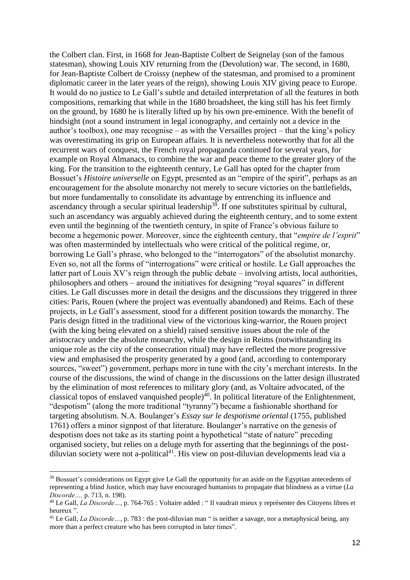the Colbert clan. First, in 1668 for Jean-Baptiste Colbert de Seignelay (son of the famous statesman), showing Louis XIV returning from the (Devolution) war. The second, in 1680, for Jean-Baptiste Colbert de Croissy (nephew of the statesman, and promised to a prominent diplomatic career in the later years of the reign), showing Louis XIV giving peace to Europe. It would do no justice to Le Gall's subtle and detailed interpretation of all the features in both compositions, remarking that while in the 1680 broadsheet, the king still has his feet firmly on the ground, by 1680 he is literally lifted up by his own pre-eminence. With the benefit of hindsight (not a sound instrument in legal iconography, and certainly not a device in the author's toolbox), one may recognise – as with the Versailles project – that the king's policy was overestimating its grip on European affairs. It is nevertheless noteworthy that for all the recurrent wars of conquest, the French royal propaganda continued for several years, for example on Royal Almanacs, to combine the war and peace theme to the greater glory of the king. For the transition to the eighteenth century, Le Gall has opted for the chapter from Bossuet's *Histoire universelle* on Egypt, presented as an "empire of the spirit", perhaps as an encouragement for the absolute monarchy not merely to secure victories on the battlefields, but more fundamentally to consolidate its advantage by entrenching its influence and ascendancy through a secular spiritual leadership<sup>39</sup>. If one substitutes spiritual by cultural, such an ascendancy was arguably achieved during the eighteenth century, and to some extent even until the beginning of the twentieth century, in spite of France's obvious failure to become a hegemonic power. Moreover, since the eighteenth century, that "*empire de l'esprit*" was often masterminded by intellectuals who were critical of the political regime, or, borrowing Le Gall's phrase, who belonged to the "interrogators" of the absolutist monarchy. Even so, not all the forms of "interrogations" were critical or hostile. Le Gall approaches the latter part of Louis XV's reign through the public debate – involving artists, local authorities, philosophers and others – around the initiatives for designing "royal squares" in different cities. Le Gall discusses more in detail the designs and the discussions they triggered in three cities: Paris, Rouen (where the project was eventually abandoned) and Reims. Each of these projects, in Le Gall's assessment, stood for a different position towards the monarchy. The Paris design fitted in the traditional view of the victorious king-warrior, the Rouen project (with the king being elevated on a shield) raised sensitive issues about the role of the aristocracy under the absolute monarchy, while the design in Reims (notwithstanding its unique role as the city of the consecration ritual) may have reflected the more progressive view and emphasised the prosperity generated by a good (and, according to contemporary sources, "sweet") government, perhaps more in tune with the city's merchant interests. In the course of the discussions, the wind of change in the discussions on the latter design illustrated by the elimination of most references to military glory (and, as Voltaire advocated, of the classical topos of enslaved vanquished people)<sup>40</sup>. In political literature of the Enlightenment, "despotism" (along the more traditional "tyranny") became a fashionable shorthand for targeting absolutism. N.A. Boulanger's *Essay sur le despotisme oriental* (1755, published 1761) offers a minor signpost of that literature. Boulanger's narrative on the genesis of despotism does not take as its starting point a hypothetical "state of nature" preceding organised society, but relies on a deluge myth for asserting that the beginnings of the postdiluvian society were not a-political<sup>41</sup>. His view on post-diluvian developments lead via a

<sup>&</sup>lt;sup>39</sup> Bossuet's considerations on Egypt give Le Gall the opportunity for an aside on the Egyptian antecedents of representing a blind Justice, which may have encouraged humanists to propagate that blindness as a virtue (*La Discorde…,* p. 713, n. 198).

<sup>40</sup> Le Gall, *La Discorde…*, p. 764-765 : Voltaire added : " Il vaudrait mieux y représenter des Citoyens libres et heureux ".

<sup>&</sup>lt;sup>41</sup> Le Gall, *La Discorde* ..., p. 783 : the post-diluvian man " is neither a savage, nor a metaphysical being, any more than a perfect creature who has been corrupted in later times".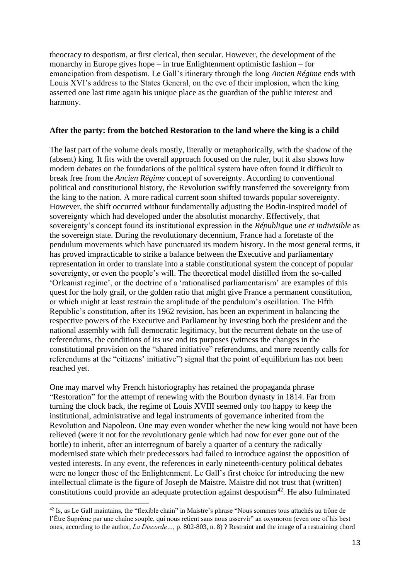theocracy to despotism, at first clerical, then secular. However, the development of the monarchy in Europe gives hope – in true Enlightenment optimistic fashion – for emancipation from despotism. Le Gall's itinerary through the long *Ancien Régime* ends with Louis XVI's address to the States General, on the eve of their implosion, when the king asserted one last time again his unique place as the guardian of the public interest and harmony.

#### **After the party: from the botched Restoration to the land where the king is a child**

The last part of the volume deals mostly, literally or metaphorically, with the shadow of the (absent) king. It fits with the overall approach focused on the ruler, but it also shows how modern debates on the foundations of the political system have often found it difficult to break free from the *Ancien Régime* concept of sovereignty. According to conventional political and constitutional history, the Revolution swiftly transferred the sovereignty from the king to the nation. A more radical current soon shifted towards popular sovereignty. However, the shift occurred without fundamentally adjusting the Bodin-inspired model of sovereignty which had developed under the absolutist monarchy. Effectively, that sovereignty's concept found its institutional expression in the *République une et indivisible* as the sovereign state. During the revolutionary decennium, France had a foretaste of the pendulum movements which have punctuated its modern history. In the most general terms, it has proved impracticable to strike a balance between the Executive and parliamentary representation in order to translate into a stable constitutional system the concept of popular sovereignty, or even the people's will. The theoretical model distilled from the so-called 'Orleanist regime', or the doctrine of a 'rationalised parliamentarism' are examples of this quest for the holy grail, or the golden ratio that might give France a permanent constitution, or which might at least restrain the amplitude of the pendulum's oscillation. The Fifth Republic's constitution, after its 1962 revision, has been an experiment in balancing the respective powers of the Executive and Parliament by investing both the president and the national assembly with full democratic legitimacy, but the recurrent debate on the use of referendums, the conditions of its use and its purposes (witness the changes in the constitutional provision on the "shared initiative" referendums, and more recently calls for referendums at the "citizens' initiative") signal that the point of equilibrium has not been reached yet.

One may marvel why French historiography has retained the propaganda phrase "Restoration" for the attempt of renewing with the Bourbon dynasty in 1814. Far from turning the clock back, the regime of Louis XVIII seemed only too happy to keep the institutional, administrative and legal instruments of governance inherited from the Revolution and Napoleon. One may even wonder whether the new king would not have been relieved (were it not for the revolutionary genie which had now for ever gone out of the bottle) to inherit, after an interregnum of barely a quarter of a century the radically modernised state which their predecessors had failed to introduce against the opposition of vested interests. In any event, the references in early nineteenth-century political debates were no longer those of the Enlightenment. Le Gall's first choice for introducing the new intellectual climate is the figure of Joseph de Maistre. Maistre did not trust that (written) constitutions could provide an adequate protection against despotism<sup>42</sup>. He also fulminated

<sup>&</sup>lt;sup>42</sup> Is, as Le Gall maintains, the "flexible chain" in Maistre's phrase "Nous sommes tous attachés au trône de l'Être Suprême par une chaîne souple, qui nous retient sans nous asservir" an oxymoron (even one of his best ones, according to the author, *La Discorde…*, p. 802-803, n. 8) ? Restraint and the image of a restraining chord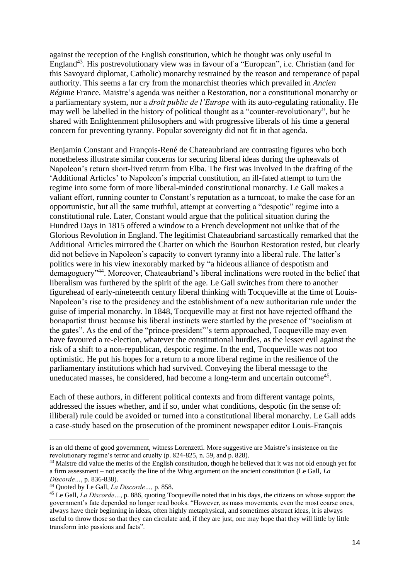against the reception of the English constitution, which he thought was only useful in England<sup>43</sup>. His postrevolutionary view was in favour of a "European", i.e. Christian (and for this Savoyard diplomat, Catholic) monarchy restrained by the reason and temperance of papal authority. This seems a far cry from the monarchist theories which prevailed in *Ancien Régime* France. Maistre's agenda was neither a Restoration, nor a constitutional monarchy or a parliamentary system, nor a *droit public de l'Europe* with its auto-regulating rationality. He may well be labelled in the history of political thought as a "counter-revolutionary", but he shared with Enlightenment philosophers and with progressive liberals of his time a general concern for preventing tyranny. Popular sovereignty did not fit in that agenda.

Benjamin Constant and François-René de Chateaubriand are contrasting figures who both nonetheless illustrate similar concerns for securing liberal ideas during the upheavals of Napoleon's return short-lived return from Elba. The first was involved in the drafting of the 'Additional Articles' to Napoleon's imperial constitution, an ill-fated attempt to turn the regime into some form of more liberal-minded constitutional monarchy. Le Gall makes a valiant effort, running counter to Constant's reputation as a turncoat, to make the case for an opportunistic, but all the same truthful, attempt at converting a "despotic" regime into a constitutional rule. Later, Constant would argue that the political situation during the Hundred Days in 1815 offered a window to a French development not unlike that of the Glorious Revolution in England. The legitimist Chateaubriand sarcastically remarked that the Additional Articles mirrored the Charter on which the Bourbon Restoration rested, but clearly did not believe in Napoleon's capacity to convert tyranny into a liberal rule. The latter's politics were in his view inexorably marked by "a hideous alliance of despotism and demagoguery"<sup>44</sup>. Moreover, Chateaubriand's liberal inclinations were rooted in the belief that liberalism was furthered by the spirit of the age. Le Gall switches from there to another figurehead of early-nineteenth century liberal thinking with Tocqueville at the time of Louis-Napoleon's rise to the presidency and the establishment of a new authoritarian rule under the guise of imperial monarchy. In 1848, Tocqueville may at first not have rejected offhand the bonapartist thrust because his liberal instincts were startled by the presence of "socialism at the gates". As the end of the "prince-president"'s term approached, Tocqueville may even have favoured a re-election, whatever the constitutional hurdles, as the lesser evil against the risk of a shift to a non-republican, despotic regime. In the end, Tocqueville was not too optimistic. He put his hopes for a return to a more liberal regime in the resilience of the parliamentary institutions which had survived. Conveying the liberal message to the uneducated masses, he considered, had become a long-term and uncertain outcome<sup>45</sup>.

Each of these authors, in different political contexts and from different vantage points, addressed the issues whether, and if so, under what conditions, despotic (in the sense of: illiberal) rule could be avoided or turned into a constitutional liberal monarchy. Le Gall adds a case-study based on the prosecution of the prominent newspaper editor Louis-François

is an old theme of good government, witness Lorenzetti. More suggestive are Maistre's insistence on the revolutionary regime's terror and cruelty (p. 824-825, n. 59, and p. 828).

<sup>&</sup>lt;sup>43</sup> Maistre did value the merits of the English constitution, though he believed that it was not old enough yet for a firm assessment – not exactly the line of the Whig argument on the ancient constitution (Le Gall, *La Discorde…*, p. 836-838).

<sup>44</sup> Quoted by Le Gall, *La Discorde…*, p. 858.

<sup>45</sup> Le Gall, *La Discorde…*, p. 886, quoting Tocqueville noted that in his days, the citizens on whose support the government's fate depended no longer read books. "However, as mass movements, even the most coarse ones, always have their beginning in ideas, often highly metaphysical, and sometimes abstract ideas, it is always useful to throw those so that they can circulate and, if they are just, one may hope that they will little by little transform into passions and facts".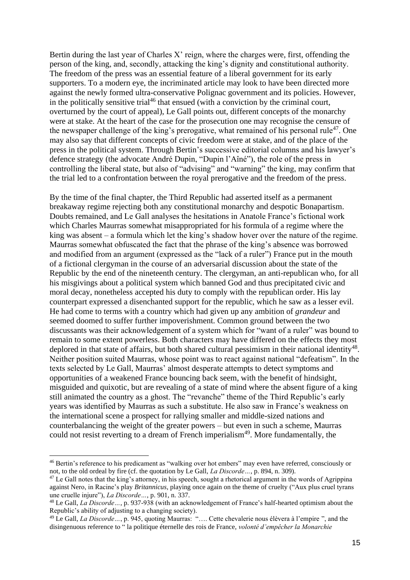Bertin during the last year of Charles X' reign, where the charges were, first, offending the person of the king, and, secondly, attacking the king's dignity and constitutional authority. The freedom of the press was an essential feature of a liberal government for its early supporters. To a modern eye, the incriminated article may look to have been directed more against the newly formed ultra-conservative Polignac government and its policies. However, in the politically sensitive trial<sup>46</sup> that ensued (with a conviction by the criminal court, overturned by the court of appeal), Le Gall points out, different concepts of the monarchy were at stake. At the heart of the case for the prosecution one may recognise the censure of the newspaper challenge of the king's prerogative, what remained of his personal rule<sup>47</sup>. One may also say that different concepts of civic freedom were at stake, and of the place of the press in the political system. Through Bertin's successive editorial columns and his lawyer's defence strategy (the advocate André Dupin, "Dupin l'Aîné"), the role of the press in controlling the liberal state, but also of "advising" and "warning" the king, may confirm that the trial led to a confrontation between the royal prerogative and the freedom of the press.

By the time of the final chapter, the Third Republic had asserted itself as a permanent breakaway regime rejecting both any constitutional monarchy and despotic Bonapartism. Doubts remained, and Le Gall analyses the hesitations in Anatole France's fictional work which Charles Maurras somewhat misappropriated for his formula of a regime where the king was absent – a formula which let the king's shadow hover over the nature of the regime. Maurras somewhat obfuscated the fact that the phrase of the king's absence was borrowed and modified from an argument (expressed as the "lack of a ruler") France put in the mouth of a fictional clergyman in the course of an adversarial discussion about the state of the Republic by the end of the nineteenth century. The clergyman, an anti-republican who, for all his misgivings about a political system which banned God and thus precipitated civic and moral decay, nonetheless accepted his duty to comply with the republican order. His lay counterpart expressed a disenchanted support for the republic, which he saw as a lesser evil. He had come to terms with a country which had given up any ambition of *grandeur* and seemed doomed to suffer further impoverishment. Common ground between the two discussants was their acknowledgement of a system which for "want of a ruler" was bound to remain to some extent powerless. Both characters may have differed on the effects they most deplored in that state of affairs, but both shared cultural pessimism in their national identity<sup>48</sup>. Neither position suited Maurras, whose point was to react against national "defeatism". In the texts selected by Le Gall, Maurras' almost desperate attempts to detect symptoms and opportunities of a weakened France bouncing back seem, with the benefit of hindsight, misguided and quixotic, but are revealing of a state of mind where the absent figure of a king still animated the country as a ghost. The "revanche" theme of the Third Republic's early years was identified by Maurras as such a substitute. He also saw in France's weakness on the international scene a prospect for rallying smaller and middle-sized nations and counterbalancing the weight of the greater powers – but even in such a scheme, Maurras could not resist reverting to a dream of French imperialism<sup>49</sup>. More fundamentally, the

<sup>46</sup> Bertin's reference to his predicament as "walking over hot embers" may even have referred, consciously or not, to the old ordeal by fire (cf. the quotation by Le Gall, *La Discorde…*, p. 894, n. 309).

<sup>&</sup>lt;sup>47</sup> Le Gall notes that the king's attorney, in his speech, sought a rhetorical argument in the words of Agrippina against Nero, in Racine's play *Britannicus*, playing once again on the theme of cruelty ("Aux plus cruel tyrans une cruelle injure"), *La Discorde…*, p. 901, n. 337.

<sup>48</sup> Le Gall, *La Discorde…*, p. 937-938 (with an acknowledgement of France's half-hearted optimism about the Republic's ability of adjusting to a changing society).

<sup>49</sup> Le Gall, *La Discorde…*, p. 945, quoting Maurras: "…. Cette chevalerie nous élèvera à l'empire ", and the disingenuous reference to " la politique éternelle des rois de France, *volonté d'empêcher la Monarchie*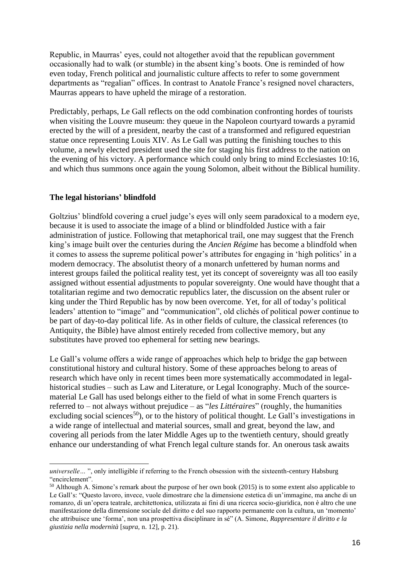Republic, in Maurras' eyes, could not altogether avoid that the republican government occasionally had to walk (or stumble) in the absent king's boots. One is reminded of how even today, French political and journalistic culture affects to refer to some government departments as "regalian" offices. In contrast to Anatole France's resigned novel characters, Maurras appears to have upheld the mirage of a restoration.

Predictably, perhaps, Le Gall reflects on the odd combination confronting hordes of tourists when visiting the Louvre museum: they queue in the Napoleon courtyard towards a pyramid erected by the will of a president, nearby the cast of a transformed and refigured equestrian statue once representing Louis XIV. As Le Gall was putting the finishing touches to this volume, a newly elected president used the site for staging his first address to the nation on the evening of his victory. A performance which could only bring to mind Ecclesiastes 10:16, and which thus summons once again the young Solomon, albeit without the Biblical humility.

#### **The legal historians' blindfold**

Goltzius' blindfold covering a cruel judge's eyes will only seem paradoxical to a modern eye. because it is used to associate the image of a blind or blindfolded Justice with a fair administration of justice. Following that metaphorical trail, one may suggest that the French king's image built over the centuries during the *Ancien Régime* has become a blindfold when it comes to assess the supreme political power's attributes for engaging in 'high politics' in a modern democracy. The absolutist theory of a monarch unfettered by human norms and interest groups failed the political reality test, yet its concept of sovereignty was all too easily assigned without essential adjustments to popular sovereignty. One would have thought that a totalitarian regime and two democratic republics later, the discussion on the absent ruler or king under the Third Republic has by now been overcome. Yet, for all of today's political leaders' attention to "image" and "communication", old clichés of political power continue to be part of day-to-day political life. As in other fields of culture, the classical references (to Antiquity, the Bible) have almost entirely receded from collective memory, but any substitutes have proved too ephemeral for setting new bearings.

Le Gall's volume offers a wide range of approaches which help to bridge the gap between constitutional history and cultural history. Some of these approaches belong to areas of research which have only in recent times been more systematically accommodated in legalhistorical studies – such as Law and Literature, or Legal Iconography. Much of the sourcematerial Le Gall has used belongs either to the field of what in some French quarters is referred to – not always without prejudice – as "*les Littéraires*" (roughly, the humanities excluding social sciences<sup>50</sup>), or to the history of political thought. Le Gall's investigations in a wide range of intellectual and material sources, small and great, beyond the law, and covering all periods from the later Middle Ages up to the twentieth century, should greatly enhance our understanding of what French legal culture stands for. An onerous task awaits

*universelle*… ", only intelligible if referring to the French obsession with the sixteenth-century Habsburg "encirclement".

<sup>50</sup> Although A. Simone's remark about the purpose of her own book (2015) is to some extent also applicable to Le Gall's: "Questo lavoro, invece, vuole dimostrare che la dimensione estetica di un'immagine, ma anche di un romanzo, di un'opera teatrale, architettonica, utilizzata ai fini di una ricerca socio-giuridica, non è altro che une manifestazione della dimensione sociale del diritto e del suo rapporto permanente con la cultura, un 'momento' che attribuisce une 'forma', non una prospettiva disciplinare in sé" (A. Simone, *Rappresentare il diritto e la giustizia nella modernità* [*supra,* n. 12], p. 21).